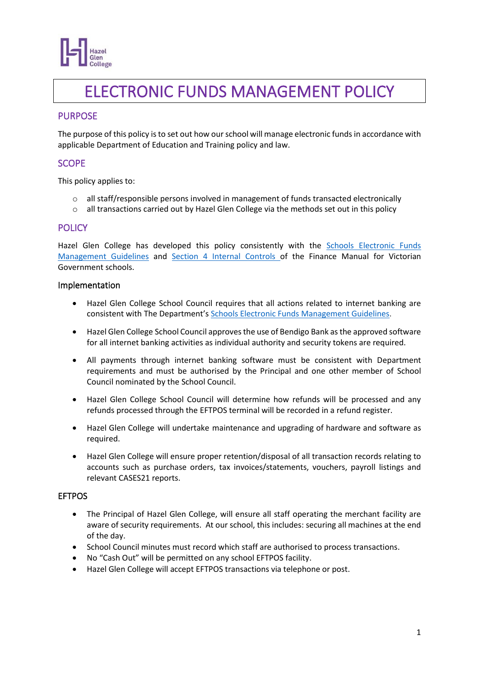

# ELECTRONIC FUNDS MANAGEMENT POLICY

# PURPOSE

The purpose of this policy is to set out how our school will manage electronic funds in accordance with applicable Department of Education and Training policy and law.

# **SCOPE**

This policy applies to:

- $\circ$  all staff/responsible persons involved in management of funds transacted electronically
- $\circ$  all transactions carried out by Hazel Glen College via the methods set out in this policy

## **POLICY**

Hazel Glen College has developed this policy consistently with the [Schools Electronic Funds](http://www.education.vic.gov.au/Documents/school/principals/finance/Fin%20Schools%20Electronic%20Funds%20Management%20Guidelines%20V1_2.pdf)  [Management Guidelines](http://www.education.vic.gov.au/Documents/school/principals/finance/Fin%20Schools%20Electronic%20Funds%20Management%20Guidelines%20V1_2.pdf) and [Section 4 Internal Controls](https://www2.education.vic.gov.au/pal/internal-controls-finance-manual-section-4/policy) of the Finance Manual for Victorian Government schools.

#### Implementation

- Hazel Glen College School Council requires that all actions related to internet banking are consistent with The Department's [Schools Electronic Funds Management Guidelines](http://www.education.vic.gov.au/Documents/school/principals/finance/Fin%20Schools%20Electronic%20Funds%20Management%20Guidelines%20V1_2.pdf).
- Hazel Glen College School Council approvesthe use of Bendigo Bank as the approved software for all internet banking activities as individual authority and security tokens are required.
- All payments through internet banking software must be consistent with Department requirements and must be authorised by the Principal and one other member of School Council nominated by the School Council.
- Hazel Glen College School Council will determine how refunds will be processed and any refunds processed through the EFTPOS terminal will be recorded in a refund register.
- Hazel Glen College will undertake maintenance and upgrading of hardware and software as required.
- Hazel Glen College will ensure proper retention/disposal of all transaction records relating to accounts such as purchase orders, tax invoices/statements, vouchers, payroll listings and relevant CASES21 reports.

### EFTPOS

- The Principal of Hazel Glen College, will ensure all staff operating the merchant facility are aware of security requirements. At our school, this includes: securing all machines at the end of the day.
- School Council minutes must record which staff are authorised to process transactions.
- No "Cash Out" will be permitted on any school EFTPOS facility.
- Hazel Glen College will accept EFTPOS transactions via telephone or post.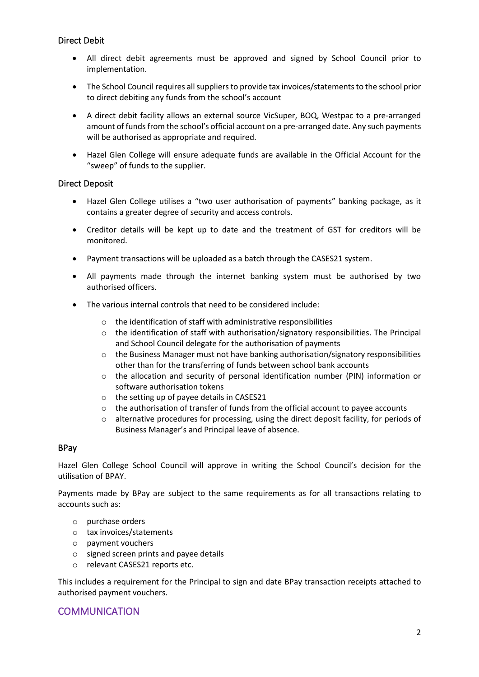## Direct Debit

- All direct debit agreements must be approved and signed by School Council prior to implementation.
- The School Council requires all suppliers to provide tax invoices/statements to the school prior to direct debiting any funds from the school's account
- A direct debit facility allows an external source VicSuper, BOQ, Westpac to a pre-arranged amount of funds from the school's official account on a pre-arranged date. Any such payments will be authorised as appropriate and required.
- Hazel Glen College will ensure adequate funds are available in the Official Account for the "sweep" of funds to the supplier.

#### Direct Deposit

- Hazel Glen College utilises a "two user authorisation of payments" banking package, as it contains a greater degree of security and access controls.
- Creditor details will be kept up to date and the treatment of GST for creditors will be monitored.
- Payment transactions will be uploaded as a batch through the CASES21 system.
- All payments made through the internet banking system must be authorised by two authorised officers.
- The various internal controls that need to be considered include:
	- o the identification of staff with administrative responsibilities
	- $\circ$  the identification of staff with authorisation/signatory responsibilities. The Principal and School Council delegate for the authorisation of payments
	- $\circ$  the Business Manager must not have banking authorisation/signatory responsibilities other than for the transferring of funds between school bank accounts
	- $\circ$  the allocation and security of personal identification number (PIN) information or software authorisation tokens
	- o the setting up of payee details in CASES21
	- o the authorisation of transfer of funds from the official account to payee accounts
	- $\circ$  alternative procedures for processing, using the direct deposit facility, for periods of Business Manager's and Principal leave of absence.

#### BPay

Hazel Glen College School Council will approve in writing the School Council's decision for the utilisation of BPAY.

Payments made by BPay are subject to the same requirements as for all transactions relating to accounts such as:

- o purchase orders
- o tax invoices/statements
- o payment vouchers
- o signed screen prints and payee details
- o relevant CASES21 reports etc.

This includes a requirement for the Principal to sign and date BPay transaction receipts attached to authorised payment vouchers.

## **COMMUNICATION**